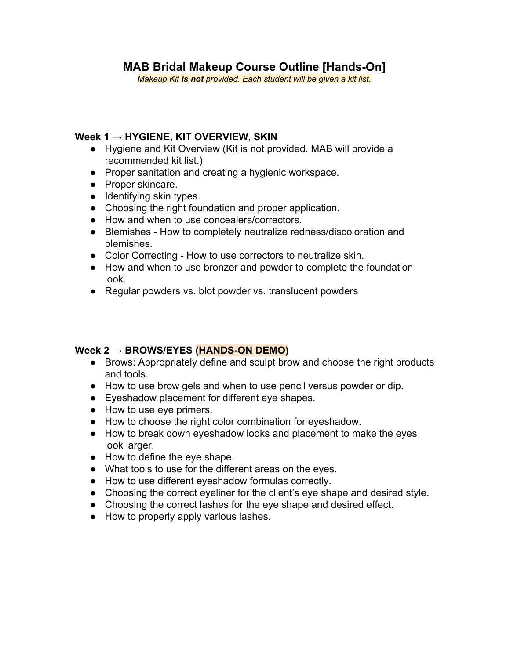# **MAB Bridal Makeup Course Outline [Hands-On]**

*Makeup Kit is not provided. Each student will be given a kit list.*

#### **Week 1 → HYGIENE, KIT OVERVIEW, SKIN**

- Hygiene and Kit Overview (Kit is not provided. MAB will provide a recommended kit list.)
- Proper sanitation and creating a hygienic workspace.
- Proper skincare.
- Identifying skin types.
- Choosing the right foundation and proper application.
- How and when to use concealers/correctors.
- Blemishes How to completely neutralize redness/discoloration and blemishes.
- Color Correcting How to use correctors to neutralize skin.
- How and when to use bronzer and powder to complete the foundation look.
- Regular powders vs. blot powder vs. translucent powders

#### **Week 2 → BROWS/EYES (HANDS-ON DEMO)**

- Brows: Appropriately define and sculpt brow and choose the right products and tools.
- How to use brow gels and when to use pencil versus powder or dip.
- Eyeshadow placement for different eye shapes.
- How to use eye primers.
- How to choose the right color combination for eyeshadow.
- How to break down eyeshadow looks and placement to make the eyes look larger.
- How to define the eye shape.
- What tools to use for the different areas on the eyes.
- How to use different eyeshadow formulas correctly.
- Choosing the correct eyeliner for the client's eye shape and desired style.
- Choosing the correct lashes for the eye shape and desired effect.
- How to properly apply various lashes.